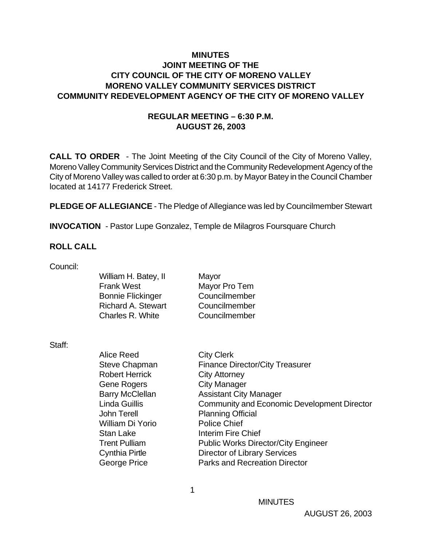## **MINUTES JOINT MEETING OF THE CITY COUNCIL OF THE CITY OF MORENO VALLEY MORENO VALLEY COMMUNITY SERVICES DISTRICT COMMUNITY REDEVELOPMENT AGENCY OF THE CITY OF MORENO VALLEY**

## **REGULAR MEETING – 6:30 P.M. AUGUST 26, 2003**

**CALL TO ORDER** - The Joint Meeting of the City Council of the City of Moreno Valley, Moreno Valley Community Services District and the Community Redevelopment Agency of the City of Moreno Valley was called to order at 6:30 p.m. by Mayor Batey in the Council Chamber located at 14177 Frederick Street.

**PLEDGE OF ALLEGIANCE** - The Pledge of Allegiance was led by Councilmember Stewart

**INVOCATION** - Pastor Lupe Gonzalez, Temple de Milagros Foursquare Church

#### **ROLL CALL**

Council:

| William H. Batey, II      | Mayor         |
|---------------------------|---------------|
| <b>Frank West</b>         | Mayor Pro Tem |
| <b>Bonnie Flickinger</b>  | Councilmember |
| <b>Richard A. Stewart</b> | Councilmember |
| Charles R. White          | Councilmember |
|                           |               |

Staff:

| Alice Reed             | <b>City Clerk</b>                                  |
|------------------------|----------------------------------------------------|
| Steve Chapman          | <b>Finance Director/City Treasurer</b>             |
| <b>Robert Herrick</b>  | <b>City Attorney</b>                               |
| <b>Gene Rogers</b>     | <b>City Manager</b>                                |
| <b>Barry McClellan</b> | <b>Assistant City Manager</b>                      |
| <b>Linda Guillis</b>   | <b>Community and Economic Development Director</b> |
| John Terell            | <b>Planning Official</b>                           |
| William Di Yorio       | <b>Police Chief</b>                                |
| <b>Stan Lake</b>       | Interim Fire Chief                                 |
| <b>Trent Pulliam</b>   | <b>Public Works Director/City Engineer</b>         |
| Cynthia Pirtle         | <b>Director of Library Services</b>                |
| George Price           | <b>Parks and Recreation Director</b>               |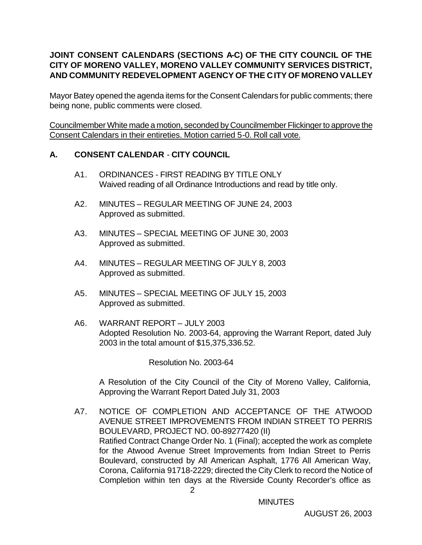# **JOINT CONSENT CALENDARS (SECTIONS A-C) OF THE CITY COUNCIL OF THE CITY OF MORENO VALLEY, MORENO VALLEY COMMUNITY SERVICES DISTRICT, AND COMMUNITY REDEVELOPMENT AGENCY OF THE CITY OF MORENO VALLEY**

Mayor Batey opened the agenda items for the Consent Calendars for public comments; there being none, public comments were closed.

Councilmember White made a motion, seconded by Councilmember Flickinger to approve the Consent Calendars in their entireties. Motion carried 5-0. Roll call vote.

# **A. CONSENT CALENDAR** - **CITY COUNCIL**

- A1. ORDINANCES FIRST READING BY TITLE ONLY Waived reading of all Ordinance Introductions and read by title only.
- A2. MINUTES REGULAR MEETING OF JUNE 24, 2003 Approved as submitted.
- A3. MINUTES SPECIAL MEETING OF JUNE 30, 2003 Approved as submitted.
- A4. MINUTES REGULAR MEETING OF JULY 8, 2003 Approved as submitted.
- A5. MINUTES SPECIAL MEETING OF JULY 15, 2003 Approved as submitted.
- A6. WARRANT REPORT JULY 2003 Adopted Resolution No. 2003-64, approving the Warrant Report, dated July 2003 in the total amount of \$15,375,336.52.

Resolution No. 2003-64

A Resolution of the City Council of the City of Moreno Valley, California, Approving the Warrant Report Dated July 31, 2003

 2 A7. NOTICE OF COMPLETION AND ACCEPTANCE OF THE ATWOOD AVENUE STREET IMPROVEMENTS FROM INDIAN STREET TO PERRIS BOULEVARD, PROJECT NO. 00-89277420 (II) Ratified Contract Change Order No. 1 (Final); accepted the work as complete for the Atwood Avenue Street Improvements from Indian Street to Perris Boulevard, constructed by All American Asphalt, 1776 All American Way, Corona, California 91718-2229; directed the City Clerk to record the Notice of Completion within ten days at the Riverside County Recorder's office as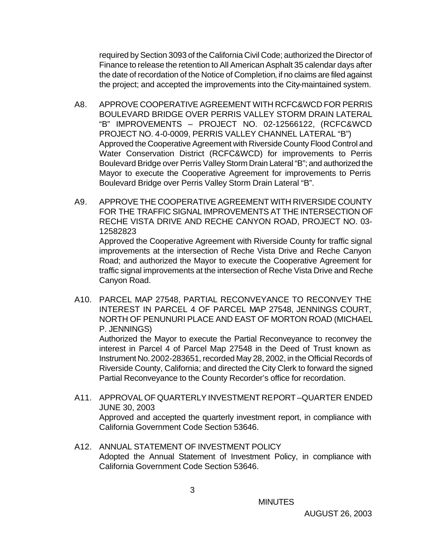required by Section 3093 of the California Civil Code; authorized the Director of Finance to release the retention to All American Asphalt 35 calendar days after the date of recordation of the Notice of Completion, if no claims are filed against the project; and accepted the improvements into the City-maintained system.

- A8. APPROVE COOPERATIVE AGREEMENT WITH RCFC&WCD FOR PERRIS BOULEVARD BRIDGE OVER PERRIS VALLEY STORM DRAIN LATERAL "B" IMPROVEMENTS – PROJECT NO. 02-12566122, (RCFC&WCD PROJECT NO. 4-0-0009, PERRIS VALLEY CHANNEL LATERAL "B") Approved the Cooperative Agreement with Riverside County Flood Control and Water Conservation District (RCFC&WCD) for improvements to Perris Boulevard Bridge over Perris Valley Storm Drain Lateral "B"; and authorized the Mayor to execute the Cooperative Agreement for improvements to Perris Boulevard Bridge over Perris Valley Storm Drain Lateral "B".
- A9. APPROVE THE COOPERATIVE AGREEMENT WITH RIVERSIDE COUNTY FOR THE TRAFFIC SIGNAL IMPROVEMENTS AT THE INTERSECTION OF RECHE VISTA DRIVE AND RECHE CANYON ROAD, PROJECT NO. 03- 12582823

Approved the Cooperative Agreement with Riverside County for traffic signal improvements at the intersection of Reche Vista Drive and Reche Canyon Road; and authorized the Mayor to execute the Cooperative Agreement for traffic signal improvements at the intersection of Reche Vista Drive and Reche Canyon Road.

A10. PARCEL MAP 27548, PARTIAL RECONVEYANCE TO RECONVEY THE INTEREST IN PARCEL 4 OF PARCEL MAP 27548, JENNINGS COURT, NORTH OF PENUNURI PLACE AND EAST OF MORTON ROAD (MICHAEL P. JENNINGS)

Authorized the Mayor to execute the Partial Reconveyance to reconvey the interest in Parcel 4 of Parcel Map 27548 in the Deed of Trust known as Instrument No. 2002-283651, recorded May 28, 2002, in the Official Records of Riverside County, California; and directed the City Clerk to forward the signed Partial Reconveyance to the County Recorder's office for recordation.

- A11. APPROVAL OF QUARTERLY INVESTMENT REPORT –QUARTER ENDED JUNE 30, 2003 Approved and accepted the quarterly investment report, in compliance with California Government Code Section 53646.
- A12. ANNUAL STATEMENT OF INVESTMENT POLICY Adopted the Annual Statement of Investment Policy, in compliance with California Government Code Section 53646.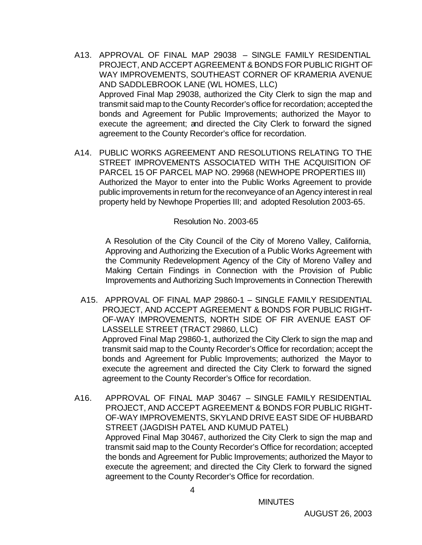- A13. APPROVAL OF FINAL MAP 29038 SINGLE FAMILY RESIDENTIAL PROJECT, AND ACCEPT AGREEMENT & BONDS FOR PUBLIC RIGHT OF WAY IMPROVEMENTS, SOUTHEAST CORNER OF KRAMERIA AVENUE AND SADDLEBROOK LANE (WL HOMES, LLC) Approved Final Map 29038, authorized the City Clerk to sign the map and transmit said map to the County Recorder's office for recordation; accepted the bonds and Agreement for Public Improvements; authorized the Mayor to execute the agreement; and directed the City Clerk to forward the signed agreement to the County Recorder's office for recordation.
- A14. PUBLIC WORKS AGREEMENT AND RESOLUTIONS RELATING TO THE STREET IMPROVEMENTS ASSOCIATED WITH THE ACQUISITION OF PARCEL 15 OF PARCEL MAP NO. 29968 (NEWHOPE PROPERTIES III) Authorized the Mayor to enter into the Public Works Agreement to provide public improvements in return for the reconveyance of an Agency interest in real property held by Newhope Properties III; and adopted Resolution 2003-65.

#### Resolution No. 2003-65

A Resolution of the City Council of the City of Moreno Valley, California, Approving and Authorizing the Execution of a Public Works Agreement with the Community Redevelopment Agency of the City of Moreno Valley and Making Certain Findings in Connection with the Provision of Public Improvements and Authorizing Such Improvements in Connection Therewith

- A15. APPROVAL OF FINAL MAP 29860-1 SINGLE FAMILY RESIDENTIAL PROJECT, AND ACCEPT AGREEMENT & BONDS FOR PUBLIC RIGHT-OF-WAY IMPROVEMENTS, NORTH SIDE OF FIR AVENUE EAST OF LASSELLE STREET (TRACT 29860, LLC) Approved Final Map 29860-1, authorized the City Clerk to sign the map and transmit said map to the County Recorder's Office for recordation; accept the bonds and Agreement for Public Improvements; authorized the Mayor to execute the agreement and directed the City Clerk to forward the signed agreement to the County Recorder's Office for recordation.
- A16. APPROVAL OF FINAL MAP 30467 SINGLE FAMILY RESIDENTIAL PROJECT, AND ACCEPT AGREEMENT & BONDS FOR PUBLIC RIGHT-OF-WAY IMPROVEMENTS, SKYLAND DRIVE EAST SIDE OF HUBBARD STREET (JAGDISH PATEL AND KUMUD PATEL) Approved Final Map 30467, authorized the City Clerk to sign the map and transmit said map to the County Recorder's Office for recordation; accepted the bonds and Agreement for Public Improvements; authorized the Mayor to execute the agreement; and directed the City Clerk to forward the signed agreement to the County Recorder's Office for recordation.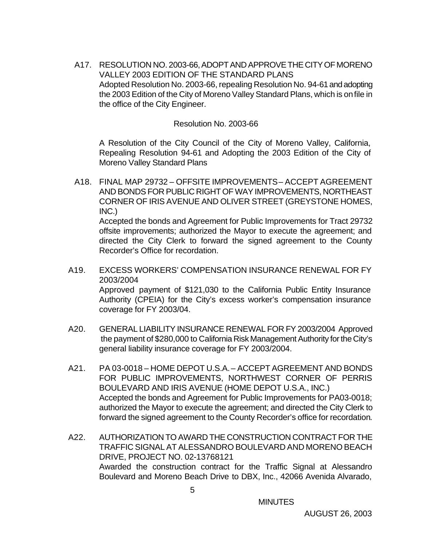A17. RESOLUTION NO. 2003-66, ADOPT AND APPROVE THE CITY OF MORENO VALLEY 2003 EDITION OF THE STANDARD PLANS Adopted Resolution No. 2003-66, repealing Resolution No. 94-61 and adopting the 2003 Edition of the City of Moreno Valley Standard Plans, which is on file in the office of the City Engineer.

#### Resolution No. 2003-66

A Resolution of the City Council of the City of Moreno Valley, California, Repealing Resolution 94-61 and Adopting the 2003 Edition of the City of Moreno Valley Standard Plans

A18. FINAL MAP 29732 – OFFSITE IMPROVEMENTS – ACCEPT AGREEMENT AND BONDS FOR PUBLIC RIGHT OF WAY IMPROVEMENTS, NORTHEAST CORNER OF IRIS AVENUE AND OLIVER STREET (GREYSTONE HOMES, INC.) Accepted the bonds and Agreement for Public Improvements for Tract 29732

offsite improvements; authorized the Mayor to execute the agreement; and directed the City Clerk to forward the signed agreement to the County Recorder's Office for recordation.

- A19. EXCESS WORKERS' COMPENSATION INSURANCE RENEWAL FOR FY 2003/2004 Approved payment of \$121,030 to the California Public Entity Insurance Authority (CPEIA) for the City's excess worker's compensation insurance coverage for FY 2003/04.
- A20. GENERAL LIABILITY INSURANCE RENEWAL FOR FY 2003/2004 Approved the payment of \$280,000 to California Risk Management Authority for the City's general liability insurance coverage for FY 2003/2004.
- A21. PA 03-0018 HOME DEPOT U.S.A. ACCEPT AGREEMENT AND BONDS FOR PUBLIC IMPROVEMENTS, NORTHWEST CORNER OF PERRIS BOULEVARD AND IRIS AVENUE (HOME DEPOT U.S.A., INC.) Accepted the bonds and Agreement for Public Improvements for PA03-0018; authorized the Mayor to execute the agreement; and directed the City Clerk to forward the signed agreement to the County Recorder's office for recordation.
- A22. AUTHORIZATION TO AWARD THE CONSTRUCTION CONTRACT FOR THE TRAFFIC SIGNAL AT ALESSANDRO BOULEVARD AND MORENO BEACH DRIVE, PROJECT NO. 02-13768121 Awarded the construction contract for the Traffic Signal at Alessandro Boulevard and Moreno Beach Drive to DBX, Inc., 42066 Avenida Alvarado,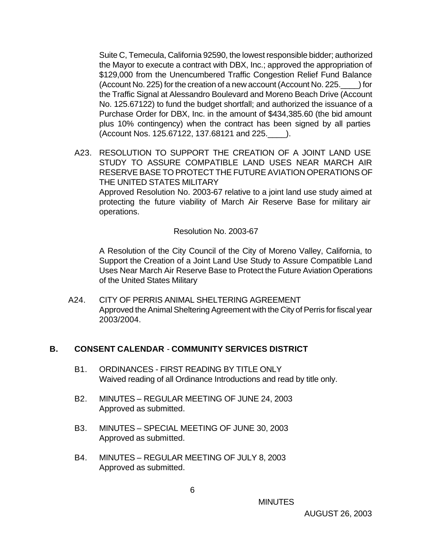Suite C, Temecula, California 92590, the lowest responsible bidder; authorized the Mayor to execute a contract with DBX, Inc.; approved the appropriation of \$129,000 from the Unencumbered Traffic Congestion Relief Fund Balance (Account No. 225) for the creation of a new account (Account No. 225.\_\_\_\_) for the Traffic Signal at Alessandro Boulevard and Moreno Beach Drive (Account No. 125.67122) to fund the budget shortfall; and authorized the issuance of a Purchase Order for DBX, Inc. in the amount of \$434,385.60 (the bid amount plus 10% contingency) when the contract has been signed by all parties (Account Nos. 125.67122, 137.68121 and 225.\_\_\_\_).

A23. RESOLUTION TO SUPPORT THE CREATION OF A JOINT LAND USE STUDY TO ASSURE COMPATIBLE LAND USES NEAR MARCH AIR RESERVE BASE TO PROTECT THE FUTURE AVIATION OPERATIONS OF THE UNITED STATES MILITARY Approved Resolution No. 2003-67 relative to a joint land use study aimed at

protecting the future viability of March Air Reserve Base for military air operations.

Resolution No. 2003-67

A Resolution of the City Council of the City of Moreno Valley, California, to Support the Creation of a Joint Land Use Study to Assure Compatible Land Uses Near March Air Reserve Base to Protect the Future Aviation Operations of the United States Military

A24. CITY OF PERRIS ANIMAL SHELTERING AGREEMENT Approved the Animal Sheltering Agreement with the City of Perris for fiscal year 2003/2004.

## **B. CONSENT CALENDAR** - **COMMUNITY SERVICES DISTRICT**

- B1. ORDINANCES FIRST READING BY TITLE ONLY Waived reading of all Ordinance Introductions and read by title only.
- B2. MINUTES REGULAR MEETING OF JUNE 24, 2003 Approved as submitted.
- B3. MINUTES SPECIAL MEETING OF JUNE 30, 2003 Approved as submitted.
- B4. MINUTES REGULAR MEETING OF JULY 8, 2003 Approved as submitted.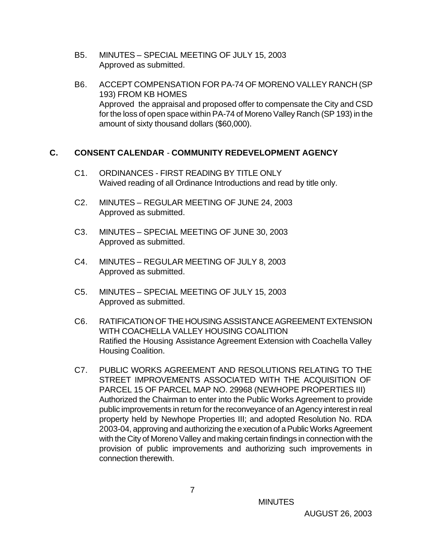- B5. MINUTES SPECIAL MEETING OF JULY 15, 2003 Approved as submitted.
- B6. ACCEPT COMPENSATION FOR PA-74 OF MORENO VALLEY RANCH (SP 193) FROM KB HOMES Approved the appraisal and proposed offer to compensate the City and CSD for the loss of open space within PA-74 of Moreno Valley Ranch (SP 193) in the amount of sixty thousand dollars (\$60,000).

## **C. CONSENT CALENDAR** - **COMMUNITY REDEVELOPMENT AGENCY**

- C1. ORDINANCES FIRST READING BY TITLE ONLY Waived reading of all Ordinance Introductions and read by title only.
- C2. MINUTES REGULAR MEETING OF JUNE 24, 2003 Approved as submitted.
- C3. MINUTES SPECIAL MEETING OF JUNE 30, 2003 Approved as submitted.
- C4. MINUTES REGULAR MEETING OF JULY 8, 2003 Approved as submitted.
- C5. MINUTES SPECIAL MEETING OF JULY 15, 2003 Approved as submitted.
- C6. RATIFICATION OF THE HOUSING ASSISTANCE AGREEMENT EXTENSION WITH COACHELLA VALLEY HOUSING COALITION Ratified the Housing Assistance Agreement Extension with Coachella Valley Housing Coalition.
- C7. PUBLIC WORKS AGREEMENT AND RESOLUTIONS RELATING TO THE STREET IMPROVEMENTS ASSOCIATED WITH THE ACQUISITION OF PARCEL 15 OF PARCEL MAP NO. 29968 (NEWHOPE PROPERTIES III) Authorized the Chairman to enter into the Public Works Agreement to provide public improvements in return for the reconveyance of an Agency interest in real property held by Newhope Properties III; and adopted Resolution No. RDA 2003-04, approving and authorizing the execution of a Public Works Agreement with the City of Moreno Valley and making certain findings in connection with the provision of public improvements and authorizing such improvements in connection therewith.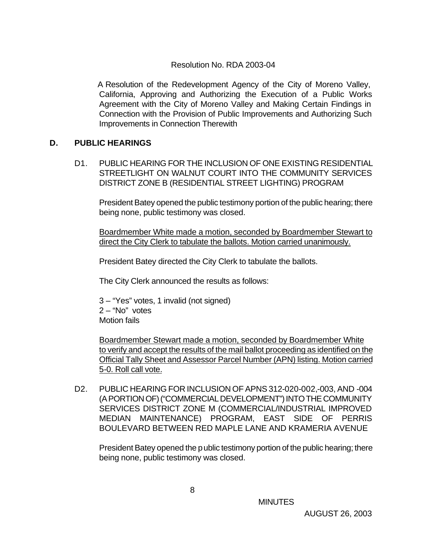#### Resolution No. RDA 2003-04

A Resolution of the Redevelopment Agency of the City of Moreno Valley, California, Approving and Authorizing the Execution of a Public Works Agreement with the City of Moreno Valley and Making Certain Findings in Connection with the Provision of Public Improvements and Authorizing Such Improvements in Connection Therewith

#### **D. PUBLIC HEARINGS**

D1. PUBLIC HEARING FOR THE INCLUSION OF ONE EXISTING RESIDENTIAL STREETLIGHT ON WALNUT COURT INTO THE COMMUNITY SERVICES DISTRICT ZONE B (RESIDENTIAL STREET LIGHTING) PROGRAM

President Batey opened the public testimony portion of the public hearing; there being none, public testimony was closed.

Boardmember White made a motion, seconded by Boardmember Stewart to direct the City Clerk to tabulate the ballots. Motion carried unanimously.

President Batey directed the City Clerk to tabulate the ballots.

The City Clerk announced the results as follows:

3 – "Yes" votes, 1 invalid (not signed) 2 – "No" votes Motion fails

Boardmember Stewart made a motion, seconded by Boardmember White to verify and accept the results of the mail ballot proceeding as identified on the Official Tally Sheet and Assessor Parcel Number (APN) listing. Motion carried 5-0. Roll call vote.

D2. PUBLIC HEARING FOR INCLUSION OF APNS 312-020-002,-003, AND -004 (A PORTION OF) ("COMMERCIAL DEVELOPMENT") INTO THE COMMUNITY SERVICES DISTRICT ZONE M (COMMERCIAL/INDUSTRIAL IMPROVED MEDIAN MAINTENANCE) PROGRAM, EAST SIDE OF PERRIS BOULEVARD BETWEEN RED MAPLE LANE AND KRAMERIA AVENUE

President Batey opened the public testimony portion of the public hearing; there being none, public testimony was closed.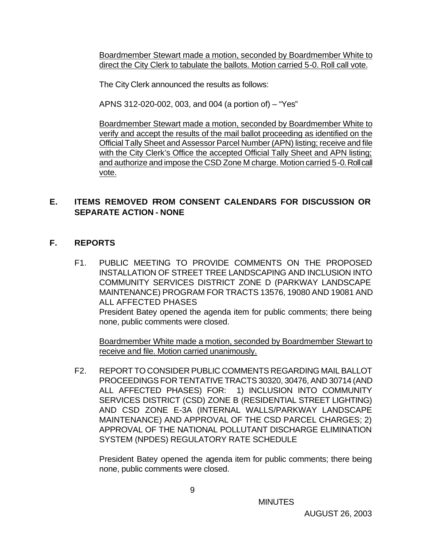Boardmember Stewart made a motion, seconded by Boardmember White to direct the City Clerk to tabulate the ballots. Motion carried 5-0. Roll call vote.

The City Clerk announced the results as follows:

APNS 312-020-002, 003, and 004 (a portion of) – "Yes"

Boardmember Stewart made a motion, seconded by Boardmember White to verify and accept the results of the mail ballot proceeding as identified on the Official Tally Sheet and Assessor Parcel Number (APN) listing; receive and file with the City Clerk's Office the accepted Official Tally Sheet and APN listing; and authorize and impose the CSD Zone M charge. Motion carried 5-0. Roll call vote.

## **E. ITEMS REMOVED FROM CONSENT CALENDARS FOR DISCUSSION OR SEPARATE ACTION - NONE**

## **F. REPORTS**

F1. PUBLIC MEETING TO PROVIDE COMMENTS ON THE PROPOSED INSTALLATION OF STREET TREE LANDSCAPING AND INCLUSION INTO COMMUNITY SERVICES DISTRICT ZONE D (PARKWAY LANDSCAPE MAINTENANCE) PROGRAM FOR TRACTS 13576, 19080 AND 19081 AND ALL AFFECTED PHASES

President Batey opened the agenda item for public comments; there being none, public comments were closed.

Boardmember White made a motion, seconded by Boardmember Stewart to receive and file. Motion carried unanimously.

F2. REPORT TO CONSIDER PUBLIC COMMENTS REGARDING MAIL BALLOT PROCEEDINGS FOR TENTATIVE TRACTS 30320, 30476, AND 30714 (AND ALL AFFECTED PHASES) FOR: 1) INCLUSION INTO COMMUNITY SERVICES DISTRICT (CSD) ZONE B (RESIDENTIAL STREET LIGHTING) AND CSD ZONE E-3A (INTERNAL WALLS/PARKWAY LANDSCAPE MAINTENANCE) AND APPROVAL OF THE CSD PARCEL CHARGES; 2) APPROVAL OF THE NATIONAL POLLUTANT DISCHARGE ELIMINATION SYSTEM (NPDES) REGULATORY RATE SCHEDULE

President Batey opened the agenda item for public comments; there being none, public comments were closed.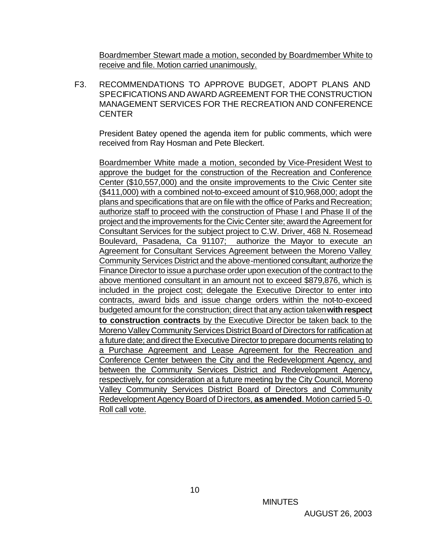Boardmember Stewart made a motion, seconded by Boardmember White to receive and file. Motion carried unanimously.

F3. RECOMMENDATIONS TO APPROVE BUDGET, ADOPT PLANS AND SPECIFICATIONS AND AWARD AGREEMENT FOR THE CONSTRUCTION MANAGEMENT SERVICES FOR THE RECREATION AND CONFERENCE **CENTER** 

President Batey opened the agenda item for public comments, which were received from Ray Hosman and Pete Bleckert.

Boardmember White made a motion, seconded by Vice-President West to approve the budget for the construction of the Recreation and Conference Center (\$10,557,000) and the onsite improvements to the Civic Center site (\$411,000) with a combined not-to-exceed amount of \$10,968,000; adopt the plans and specifications that are on file with the office of Parks and Recreation; authorize staff to proceed with the construction of Phase I and Phase II of the project and the improvements for the Civic Center site; award the Agreement for Consultant Services for the subject project to C.W. Driver, 468 N. Rosemead Boulevard, Pasadena, Ca 91107; authorize the Mayor to execute an Agreement for Consultant Services Agreement between the Moreno Valley Community Services District and the above-mentioned consultant; authorize the Finance Director to issue a purchase order upon execution of the contract to the above mentioned consultant in an amount not to exceed \$879,876, which is included in the project cost; delegate the Executive Director to enter into contracts, award bids and issue change orders within the not-to-exceed budgeted amount for the construction; direct that any action taken **with respect to construction contracts** by the Executive Director be taken back to the Moreno Valley Community Services District Board of Directors for ratification at a future date; and direct the Executive Director to prepare documents relating to a Purchase Agreement and Lease Agreement for the Recreation and Conference Center between the City and the Redevelopment Agency, and between the Community Services District and Redevelopment Agency, respectively, for consideration at a future meeting by the City Council, Moreno Valley Community Services District Board of Directors and Community Redevelopment Agency Board of Directors, **as amended**. Motion carried 5-0. Roll call vote.

 $10<sup>10</sup>$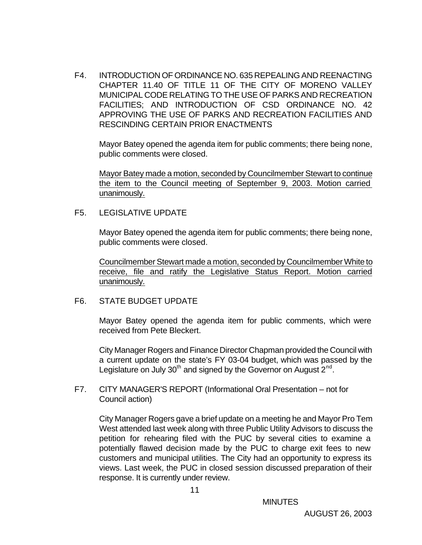F4. INTRODUCTION OF ORDINANCE NO. 635 REPEALING AND REENACTING CHAPTER 11.40 OF TITLE 11 OF THE CITY OF MORENO VALLEY MUNICIPAL CODE RELATING TO THE USE OF PARKS AND RECREATION FACILITIES; AND INTRODUCTION OF CSD ORDINANCE NO. 42 APPROVING THE USE OF PARKS AND RECREATION FACILITIES AND RESCINDING CERTAIN PRIOR ENACTMENTS

Mayor Batey opened the agenda item for public comments; there being none, public comments were closed.

Mayor Batey made a motion, seconded by Councilmember Stewart to continue the item to the Council meeting of September 9, 2003. Motion carried unanimously.

F5. LEGISLATIVE UPDATE

Mayor Batey opened the agenda item for public comments; there being none, public comments were closed.

Councilmember Stewart made a motion, seconded by Councilmember White to receive, file and ratify the Legislative Status Report. Motion carried unanimously.

F6. STATE BUDGET UPDATE

Mayor Batey opened the agenda item for public comments, which were received from Pete Bleckert.

City Manager Rogers and Finance Director Chapman provided the Council with a current update on the state's FY 03-04 budget, which was passed by the Legislature on July 30<sup>th</sup> and signed by the Governor on August 2<sup>nd</sup>.

F7. CITY MANAGER'S REPORT (Informational Oral Presentation – not for Council action)

City Manager Rogers gave a brief update on a meeting he and Mayor Pro Tem West attended last week along with three Public Utility Advisors to discuss the petition for rehearing filed with the PUC by several cities to examine a potentially flawed decision made by the PUC to charge exit fees to new customers and municipal utilities. The City had an opportunity to express its views. Last week, the PUC in closed session discussed preparation of their response. It is currently under review.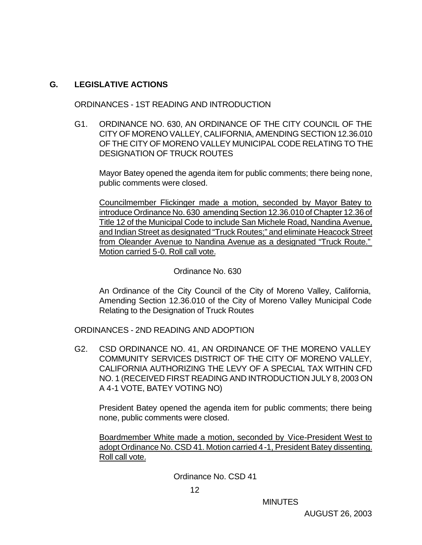## **G. LEGISLATIVE ACTIONS**

ORDINANCES - 1ST READING AND INTRODUCTION

G1. ORDINANCE NO. 630, AN ORDINANCE OF THE CITY COUNCIL OF THE CITY OF MORENO VALLEY, CALIFORNIA, AMENDING SECTION 12.36.010 OF THE CITY OF MORENO VALLEY MUNICIPAL CODE RELATING TO THE DESIGNATION OF TRUCK ROUTES

Mayor Batey opened the agenda item for public comments; there being none, public comments were closed.

Councilmember Flickinger made a motion, seconded by Mayor Batey to introduce Ordinance No. 630 amending Section 12.36.010 of Chapter 12.36 of Title 12 of the Municipal Code to include San Michele Road, Nandina Avenue, and Indian Street as designated "Truck Routes;" and eliminate Heacock Street from Oleander Avenue to Nandina Avenue as a designated "Truck Route." Motion carried 5-0. Roll call vote.

#### Ordinance No. 630

An Ordinance of the City Council of the City of Moreno Valley, California, Amending Section 12.36.010 of the City of Moreno Valley Municipal Code Relating to the Designation of Truck Routes

ORDINANCES - 2ND READING AND ADOPTION

G2. CSD ORDINANCE NO. 41, AN ORDINANCE OF THE MORENO VALLEY COMMUNITY SERVICES DISTRICT OF THE CITY OF MORENO VALLEY, CALIFORNIA AUTHORIZING THE LEVY OF A SPECIAL TAX WITHIN CFD NO. 1 (RECEIVED FIRST READING AND INTRODUCTION JULY 8, 2003 ON A 4-1 VOTE, BATEY VOTING NO)

President Batey opened the agenda item for public comments; there being none, public comments were closed.

Boardmember White made a motion, seconded by Vice-President West to adopt Ordinance No. CSD 41. Motion carried 4-1, President Batey dissenting. Roll call vote.

Ordinance No. CSD 41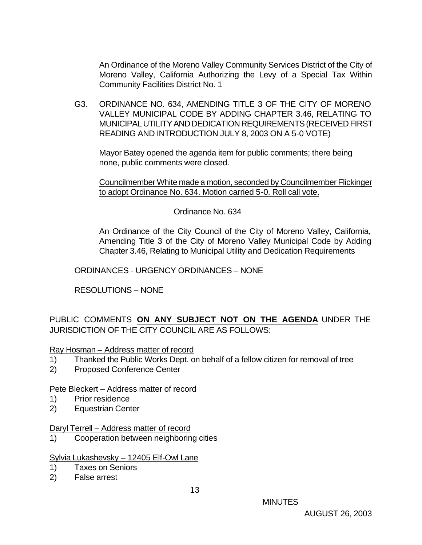An Ordinance of the Moreno Valley Community Services District of the City of Moreno Valley, California Authorizing the Levy of a Special Tax Within Community Facilities District No. 1

G3. ORDINANCE NO. 634, AMENDING TITLE 3 OF THE CITY OF MORENO VALLEY MUNICIPAL CODE BY ADDING CHAPTER 3.46, RELATING TO MUNICIPAL UTILITY AND DEDICATION REQUIREMENTS (RECEIVED FIRST READING AND INTRODUCTION JULY 8, 2003 ON A 5-0 VOTE)

Mayor Batey opened the agenda item for public comments; there being none, public comments were closed.

Councilmember White made a motion, seconded by Councilmember Flickinger to adopt Ordinance No. 634. Motion carried 5-0. Roll call vote.

Ordinance No. 634

An Ordinance of the City Council of the City of Moreno Valley, California, Amending Title 3 of the City of Moreno Valley Municipal Code by Adding Chapter 3.46, Relating to Municipal Utility and Dedication Requirements

ORDINANCES - URGENCY ORDINANCES – NONE

RESOLUTIONS – NONE

PUBLIC COMMENTS **ON ANY SUBJECT NOT ON THE AGENDA** UNDER THE JURISDICTION OF THE CITY COUNCIL ARE AS FOLLOWS:

Ray Hosman – Address matter of record

- 1) Thanked the Public Works Dept. on behalf of a fellow citizen for removal of tree
- 2) Proposed Conference Center

Pete Bleckert – Address matter of record

- 1) Prior residence
- 2) Equestrian Center

#### Daryl Terrell – Address matter of record

1) Cooperation between neighboring cities

#### Sylvia Lukashevsky – 12405 Elf-Owl Lane

- 1) Taxes on Seniors
- 2) False arrest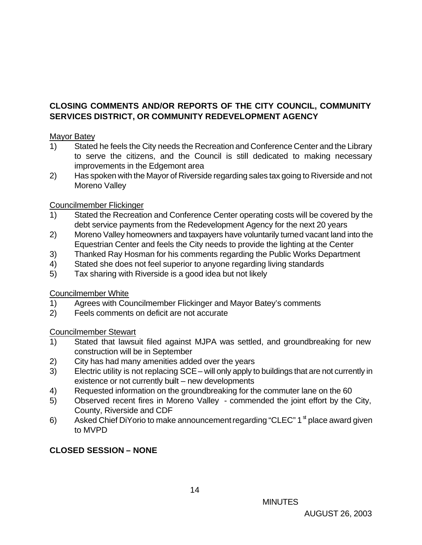# **CLOSING COMMENTS AND/OR REPORTS OF THE CITY COUNCIL, COMMUNITY SERVICES DISTRICT, OR COMMUNITY REDEVELOPMENT AGENCY**

#### Mayor Batey

- 1) Stated he feels the City needs the Recreation and Conference Center and the Library to serve the citizens, and the Council is still dedicated to making necessary improvements in the Edgemont area
- 2) Has spoken with the Mayor of Riverside regarding sales tax going to Riverside and not Moreno Valley

## Councilmember Flickinger

- 1) Stated the Recreation and Conference Center operating costs will be covered by the debt service payments from the Redevelopment Agency for the next 20 years
- 2) Moreno Valley homeowners and taxpayers have voluntarily turned vacant land into the Equestrian Center and feels the City needs to provide the lighting at the Center
- 3) Thanked Ray Hosman for his comments regarding the Public Works Department
- 4) Stated she does not feel superior to anyone regarding living standards
- 5) Tax sharing with Riverside is a good idea but not likely

## Councilmember White

- 1) Agrees with Councilmember Flickinger and Mayor Batey's comments
- 2) Feels comments on deficit are not accurate

## Councilmember Stewart

- 1) Stated that lawsuit filed against MJPA was settled, and groundbreaking for new construction will be in September
- 2) City has had many amenities added over the years
- 3) Electric utility is not replacing SCE will only apply to buildings that are not currently in existence or not currently built – new developments
- 4) Requested information on the groundbreaking for the commuter lane on the 60
- 5) Observed recent fires in Moreno Valley commended the joint effort by the City, County, Riverside and CDF
- 6) Asked Chief DiYorio to make announcement regarding "CLEC"  $1^{\mathrm{st}}$  place award given to MVPD

# **CLOSED SESSION – NONE**